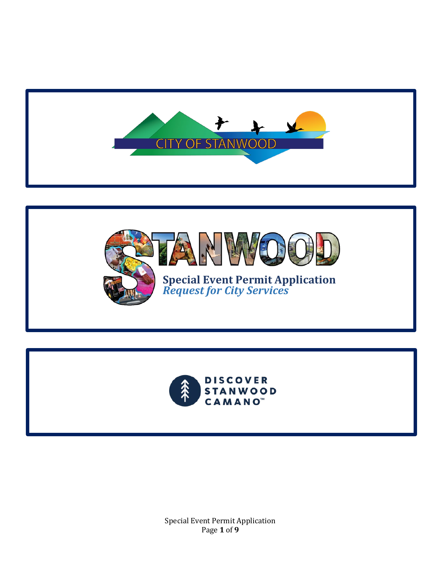





Special Event Permit Application Page **1** of **9**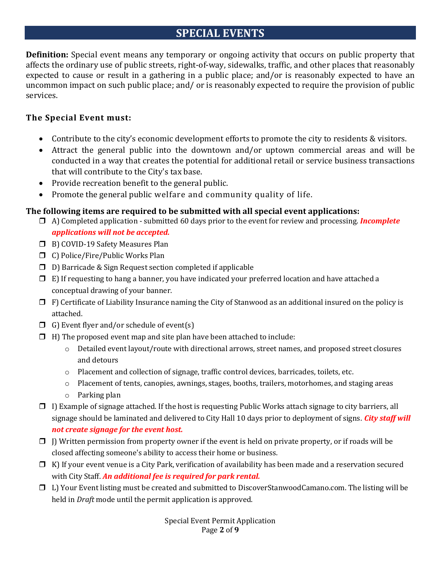## **SPECIAL EVENTS**

**Definition:** Special event means any temporary or ongoing activity that occurs on public property that affects the ordinary use of public streets, right-of-way, sidewalks, traffic, and other places that reasonably expected to cause or result in a gathering in a public place; and/or is reasonably expected to have an uncommon impact on such public place; and/ or is reasonably expected to require the provision of public services.

#### **The Special Event must:**

- Contribute to the city's economic development efforts to promote the city to residents & visitors.
- Attract the general public into the downtown and/or uptown commercial areas and will be conducted in a way that creates the potential for additional retail or service business transactions that will contribute to the City's tax base.
- Provide recreation benefit to the general public.
- Promote the general public welfare and community quality of life.

#### **The following items are required to be submitted with all special event applications:**

A) Completed application - submitted 60 days prior to the event for review and processing. *Incomplete* 

*applications will not be accepted.*

- □ B) COVID-19 Safety Measures Plan
- C) Police/Fire/Public Works Plan
- $\Box$  D) Barricade & Sign Request section completed if applicable
- $\Box$  E) If requesting to hang a banner, you have indicated your preferred location and have attached a conceptual drawing of your banner.
- $\Box$  F) Certificate of Liability Insurance naming the City of Stanwood as an additional insured on the policy is attached.
- $\Box$  G) Event flyer and/or schedule of event(s)
- $\Box$  H) The proposed event map and site plan have been attached to include:
	- o Detailed event layout/route with directional arrows, street names, and proposed street closures and detours
	- o Placement and collection of signage, traffic control devices, barricades, toilets, etc.
	- o Placement of tents, canopies, awnings, stages, booths, trailers, motorhomes, and staging areas
	- o Parking plan
- $\Box$  I) Example of signage attached. If the host is requesting Public Works attach signage to city barriers, all signage should be laminated and delivered to City Hall 10 days prior to deployment of signs. *City staff will not create signage for the event host.*
- $\Box$  J) Written permission from property owner if the event is held on private property, or if roads will be closed affecting someone's ability to access their home or business.
- $\Box$  K) If your event venue is a City Park, verification of availability has been made and a reservation secured with City Staff. *An additional fee is required for park rental.*
- L) Your Event listing must be created and submitted to DiscoverStanwoodCamano.com. The listing will be held in *Draft* mode until the permit application is approved.

Special Event Permit Application Page **2** of **9**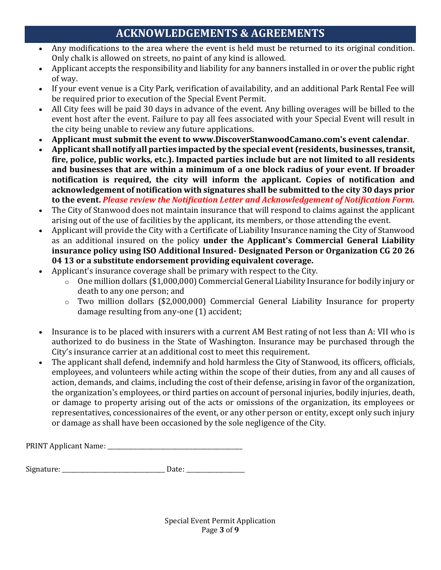# **ACKNOWLEDGEMENTS & AGREEMENTS**

- Any modifications to the area where the event is held must be returned to its original condition. Only chalk is allowed on streets, no paint of any kind is allowed.
- Applicant accepts the responsibility and liability for any banners installed in or over the public right of way.
- If your event venue is a City Park, verification of availability, and an additional Park Rental Fee will be required prior to execution of the Special Event Permit.
- All City fees will be paid 30 days in advance of the event. Any billing overages will be billed to the event host after the event. Failure to pay all fees associated with your Special Event will result in the city being unable to review any future applications.
- **Applicant must submit the event to www.DiscoverStanwoodCamano.com's event calendar**.
- **Applicant shall notify all parties impacted by the special event (residents, businesses, transit, fire, police, public works, etc.). Impacted parties include but are not limited to all residents and businesses that are within a minimum of a one block radius of your event. If broader notification is required, the city will inform the applicant. Copies of notification and acknowledgement of notification with signatures shall be submitted to the city 30 days prior to the event.** *Please review the Notification Letter and Acknowledgement of Notification Form.*
- The City of Stanwood does not maintain insurance that will respond to claims against the applicant arising out of the use of facilities by the applicant, its members, or those attending the event.
- Applicant will provide the City with a Certificate of Liability Insurance naming the City of Stanwood as an additional insured on the policy **under the Applicant's Commercial General Liability insurance policy using ISO Additional Insured- Designated Person or Organization CG 20 26 04 13 or a substitute endorsement providing equivalent coverage.**
- Applicant's insurance coverage shall be primary with respect to the City.
	- o One million dollars (\$1,000,000) Commercial General Liability Insurance for bodily injury or death to any one person; and
	- o Two million dollars (\$2,000,000) Commercial General Liability Insurance for property damage resulting from any-one (1) accident;
- Insurance is to be placed with insurers with a current AM Best rating of not less than A: VII who is authorized to do business in the State of Washington. Insurance may be purchased through the City's insurance carrier at an additional cost to meet this requirement.
- The applicant shall defend, indemnify and hold harmless the City of Stanwood, its officers, officials, employees, and volunteers while acting within the scope of their duties, from any and all causes of action, demands, and claims, including the cost of their defense, arising in favor of the organization, the organization's employees, or third parties on account of personal injuries, bodily injuries, death, or damage to property arising out of the acts or omissions of the organization, its employees or representatives, concessionaires of the event, or any other person or entity, except only such injury or damage as shall have been occasioned by the sole negligence of the City.

| <b>PRINT Applicant Name:</b> |  |
|------------------------------|--|
|------------------------------|--|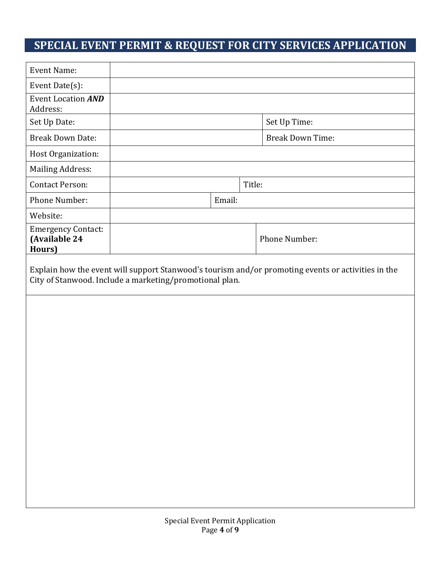# **SPECIAL EVENT PERMIT & REQUEST FOR CITY SERVICES APPLICATION**

| Set Up Time:<br><b>Break Down Time:</b>                                                            |
|----------------------------------------------------------------------------------------------------|
|                                                                                                    |
|                                                                                                    |
|                                                                                                    |
|                                                                                                    |
|                                                                                                    |
|                                                                                                    |
|                                                                                                    |
|                                                                                                    |
|                                                                                                    |
|                                                                                                    |
| Phone Number:                                                                                      |
| Explain how the event will support Stanwood's tourism and/or promoting events or activities in the |
|                                                                                                    |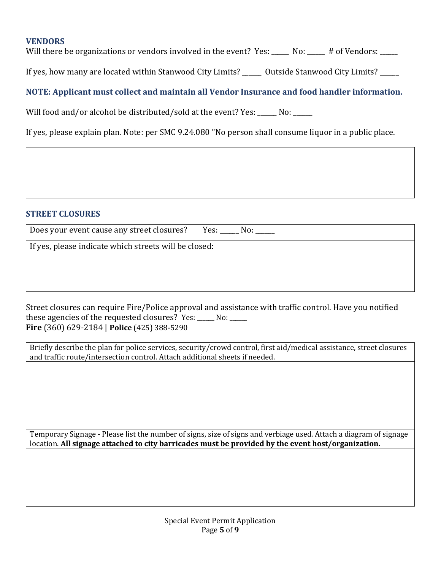#### **VENDORS**

Will there be organizations or vendors involved in the event? Yes: \_\_\_\_\_ No: \_\_\_\_\_ # of Vendors: \_\_\_\_

If yes, how many are located within Stanwood City Limits? <br>  $0$ utside Stanwood City Limits?

#### **NOTE: Applicant must collect and maintain all Vendor Insurance and food handler information.**

Will food and/or alcohol be distributed/sold at the event? Yes: \_\_\_\_\_ No: \_\_\_\_\_

If yes, please explain plan. Note: per SMC 9.24.080 "No person shall consume liquor in a public place.

#### **STREET CLOSURES**

| Does your event cause any street closures? Yes: No: No: |  |
|---------------------------------------------------------|--|
| If yes, please indicate which streets will be closed:   |  |
|                                                         |  |

Street closures can require Fire/Police approval and assistance with traffic control. Have you notified these agencies of the requested closures? Yes: No: **Fire** (360) 629-2184 | **Police** (425) 388-5290

Briefly describe the plan for police services, security/crowd control, first aid/medical assistance, street closures and traffic route/intersection control. Attach additional sheets if needed.

Temporary Signage - Please list the number of signs, size of signs and verbiage used. Attach a diagram of signage location. **All signage attached to city barricades must be provided by the event host/organization.**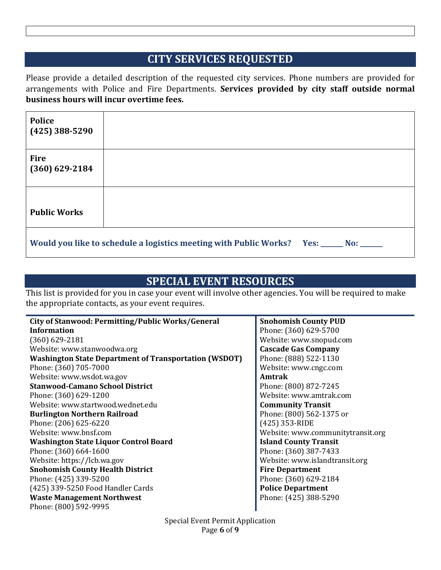### **CITY SERVICES REQUESTED**

Please provide a detailed description of the requested city services. Phone numbers are provided for arrangements with Police and Fire Departments. **Services provided by city staff outside normal business hours will incur overtime fees.** 

| <b>Police</b><br>$(425)$ 388-5290                                                      |  |
|----------------------------------------------------------------------------------------|--|
| <b>Fire</b><br>$(360)$ 629-2184                                                        |  |
| <b>Public Works</b>                                                                    |  |
| Would you like to schedule a logistics meeting with Public Works? Yes: _____ No: _____ |  |

## **SPECIAL EVENT RESOURCES**

This list is provided for you in case your event will involve other agencies. You will be required to make the appropriate contacts, as your event requires.

| City of Stanwood: Permitting/Public Works/General            | <b>Snohomish County PUD</b>       |
|--------------------------------------------------------------|-----------------------------------|
| Information                                                  | Phone: (360) 629-5700             |
| $(360) 629 - 2181$                                           | Website: www.snopud.com           |
| Website: www.stanwoodwa.org                                  | <b>Cascade Gas Company</b>        |
| <b>Washington State Department of Transportation (WSDOT)</b> | Phone: (888) 522-1130             |
| Phone: (360) 705-7000                                        | Website: www.cngc.com             |
| Website: www.wsdot.wa.gov                                    | Amtrak                            |
| <b>Stanwood-Camano School District</b>                       | Phone: (800) 872-7245             |
| Phone: (360) 629-1200                                        | Website: www.amtrak.com           |
| Website: www.startwood.wednet.edu                            | <b>Community Transit</b>          |
| <b>Burlington Northern Railroad</b>                          | Phone: (800) 562-1375 or          |
| Phone: (206) 625-6220                                        | (425) 353-RIDE                    |
| Website: www.bnsf.com                                        | Website: www.communitytransit.org |
| <b>Washington State Liquor Control Board</b>                 | <b>Island County Transit</b>      |
| Phone: (360) 664-1600                                        | Phone: (360) 387-7433             |
| Website: https://lcb.wa.gov                                  | Website: www.islandtransit.org    |
| <b>Snohomish County Health District</b>                      | <b>Fire Department</b>            |
| Phone: (425) 339-5200                                        | Phone: (360) 629-2184             |
| (425) 339-5250 Food Handler Cards                            | <b>Police Department</b>          |
| <b>Waste Management Northwest</b>                            | Phone: (425) 388-5290             |
| Phone: (800) 592-9995                                        |                                   |
|                                                              |                                   |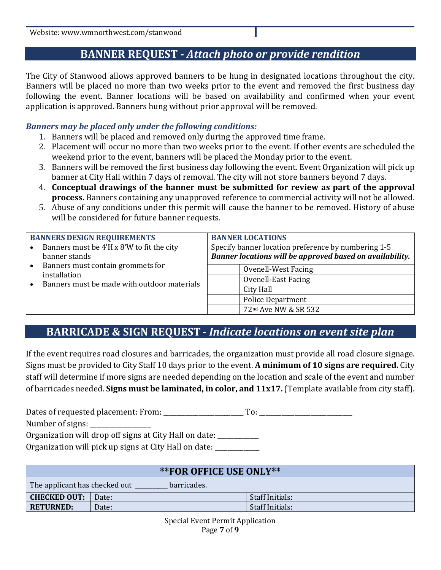Website: www.wmnorthwest.com/stanwood

## **BANNER REQUEST -** *Attach photo or provide rendition*

The City of Stanwood allows approved banners to be hung in designated locations throughout the city. Banners will be placed no more than two weeks prior to the event and removed the first business day following the event. Banner locations will be based on availability and confirmed when your event application is approved. Banners hung without prior approval will be removed.

#### *Banners may be placed only under the following conditions:*

- 1. Banners will be placed and removed only during the approved time frame.
- 2. Placement will occur no more than two weeks prior to the event. If other events are scheduled the weekend prior to the event, banners will be placed the Monday prior to the event.
- 3. Banners will be removed the first business day following the event. Event Organization will pick up banner at City Hall within 7 days of removal. The city will not store banners beyond 7 days.
- 4. **Conceptual drawings of the banner must be submitted for review as part of the approval process.** Banners containing any unapproved reference to commercial activity will not be allowed.
- 5. Abuse of any conditions under this permit will cause the banner to be removed. History of abuse will be considered for future banner requests.

| <b>BANNERS DESIGN REQUIREMENTS</b> |                                             | <b>BANNER LOCATIONS</b>                                  |
|------------------------------------|---------------------------------------------|----------------------------------------------------------|
|                                    | Banners must be 4'H x 8'W to fit the city   | Specify banner location preference by numbering 1-5      |
|                                    | banner stands                               | Banner locations will be approved based on availability. |
|                                    | Banners must contain grommets for           | Ovenell-West Facing                                      |
| installation                       | Ovenell-East Facing                         |                                                          |
|                                    | Banners must be made with outdoor materials | City Hall                                                |
|                                    |                                             | <b>Police Department</b>                                 |
|                                    |                                             | 72 <sup>nd</sup> Ave NW & SR 532                         |

### **BARRICADE & SIGN REQUEST -** *Indicate locations on event site plan*

If the event requires road closures and barricades, the organization must provide all road closure signage. Signs must be provided to City Staff 10 days prior to the event. **A minimum of 10 signs are required.** City staff will determine if more signs are needed depending on the location and scale of the event and number of barricades needed. **Signs must be laminated, in color, and 11x17.** (Template available from city staff).

Dates of requested placement: From: \_\_\_\_\_\_\_\_\_\_\_\_\_\_\_\_\_\_\_\_\_\_\_\_\_ To: \_\_\_\_\_\_\_\_\_\_\_\_\_\_\_\_\_\_\_\_\_\_\_\_\_\_\_\_\_

Number of signs:

Organization will drop off signs at City Hall on date: \_\_\_\_\_\_\_\_\_\_\_

Organization will pick up signs at City Hall on date: \_\_\_\_\_\_\_\_\_\_\_\_\_\_\_\_\_\_\_\_\_\_\_\_\_\_

| **FOR OFFICE USE ONLY**                      |       |                 |
|----------------------------------------------|-------|-----------------|
| The applicant has checked out<br>barricades. |       |                 |
| <b>CHECKED OUT:</b>                          | Date: | Staff Initials: |
| <b>RETURNED:</b>                             | Date: | Staff Initials: |

Special Event Permit Application Page **7** of **9**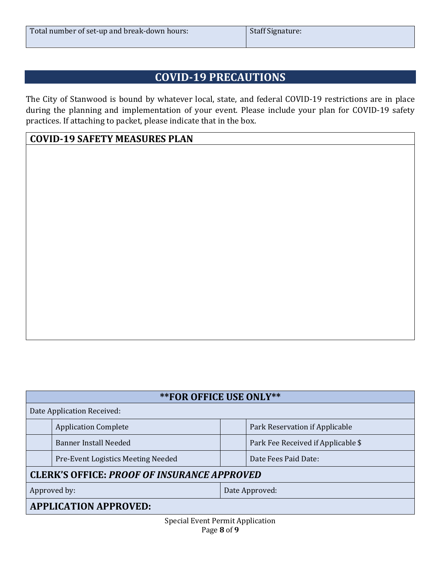| Total number of set-up and break-down hours: | <b>Staff Signature:</b> |
|----------------------------------------------|-------------------------|
|                                              |                         |

# **COVID-19 PRECAUTIONS**

The City of Stanwood is bound by whatever local, state, and federal COVID-19 restrictions are in place during the planning and implementation of your event. Please include your plan for COVID-19 safety practices. If attaching to packet, please indicate that in the box.

#### **COVID-19 SAFETY MEASURES PLAN**

| <b>**FOR OFFICE USE ONLY**</b>                                              |                                    |  |
|-----------------------------------------------------------------------------|------------------------------------|--|
| Date Application Received:                                                  |                                    |  |
| <b>Application Complete</b>                                                 | Park Reservation if Applicable     |  |
| <b>Banner Install Needed</b>                                                | Park Fee Received if Applicable \$ |  |
| Pre-Event Logistics Meeting Needed                                          | Date Fees Paid Date:               |  |
| <b>CLERK'S OFFICE: PROOF OF INSURANCE APPROVED</b>                          |                                    |  |
| Approved by:<br>Date Approved:                                              |                                    |  |
| <b>APPLICATION APPROVED:</b>                                                |                                    |  |
| $\cdot$ $\cdot$ $\cdot$<br>$\sim$ $\sim$ $\sim$ $\sim$ $\sim$ $\sim$ $\sim$ |                                    |  |